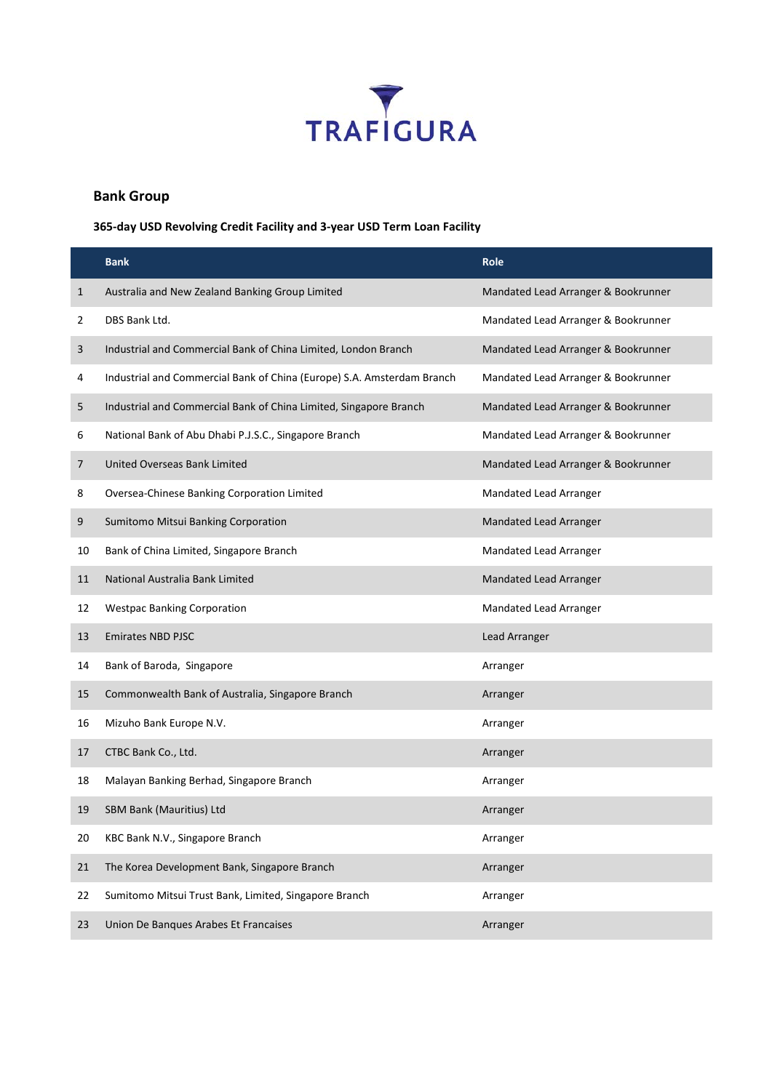

## **Bank Group**

**365-day USD Revolving Credit Facility and 3-year USD Term Loan Facility**

|              | <b>Bank</b>                                                            | <b>Role</b>                         |
|--------------|------------------------------------------------------------------------|-------------------------------------|
| $\mathbf{1}$ | Australia and New Zealand Banking Group Limited                        | Mandated Lead Arranger & Bookrunner |
| 2            | DBS Bank Ltd.                                                          | Mandated Lead Arranger & Bookrunner |
| 3            | Industrial and Commercial Bank of China Limited, London Branch         | Mandated Lead Arranger & Bookrunner |
| 4            | Industrial and Commercial Bank of China (Europe) S.A. Amsterdam Branch | Mandated Lead Arranger & Bookrunner |
| 5            | Industrial and Commercial Bank of China Limited, Singapore Branch      | Mandated Lead Arranger & Bookrunner |
| 6            | National Bank of Abu Dhabi P.J.S.C., Singapore Branch                  | Mandated Lead Arranger & Bookrunner |
| 7            | United Overseas Bank Limited                                           | Mandated Lead Arranger & Bookrunner |
| 8            | Oversea-Chinese Banking Corporation Limited                            | Mandated Lead Arranger              |
| 9            | Sumitomo Mitsui Banking Corporation                                    | Mandated Lead Arranger              |
| 10           | Bank of China Limited, Singapore Branch                                | Mandated Lead Arranger              |
| 11           | National Australia Bank Limited                                        | Mandated Lead Arranger              |
| 12           | <b>Westpac Banking Corporation</b>                                     | Mandated Lead Arranger              |
| 13           | <b>Emirates NBD PJSC</b>                                               | Lead Arranger                       |
| 14           | Bank of Baroda, Singapore                                              | Arranger                            |
| 15           | Commonwealth Bank of Australia, Singapore Branch                       | Arranger                            |
| 16           | Mizuho Bank Europe N.V.                                                | Arranger                            |
| 17           | CTBC Bank Co., Ltd.                                                    | Arranger                            |
| 18           | Malayan Banking Berhad, Singapore Branch                               | Arranger                            |
| 19           | SBM Bank (Mauritius) Ltd                                               | Arranger                            |
| 20           | KBC Bank N.V., Singapore Branch                                        | Arranger                            |
| 21           | The Korea Development Bank, Singapore Branch                           | Arranger                            |
| 22           | Sumitomo Mitsui Trust Bank, Limited, Singapore Branch                  | Arranger                            |
| 23           | Union De Banques Arabes Et Francaises                                  | Arranger                            |